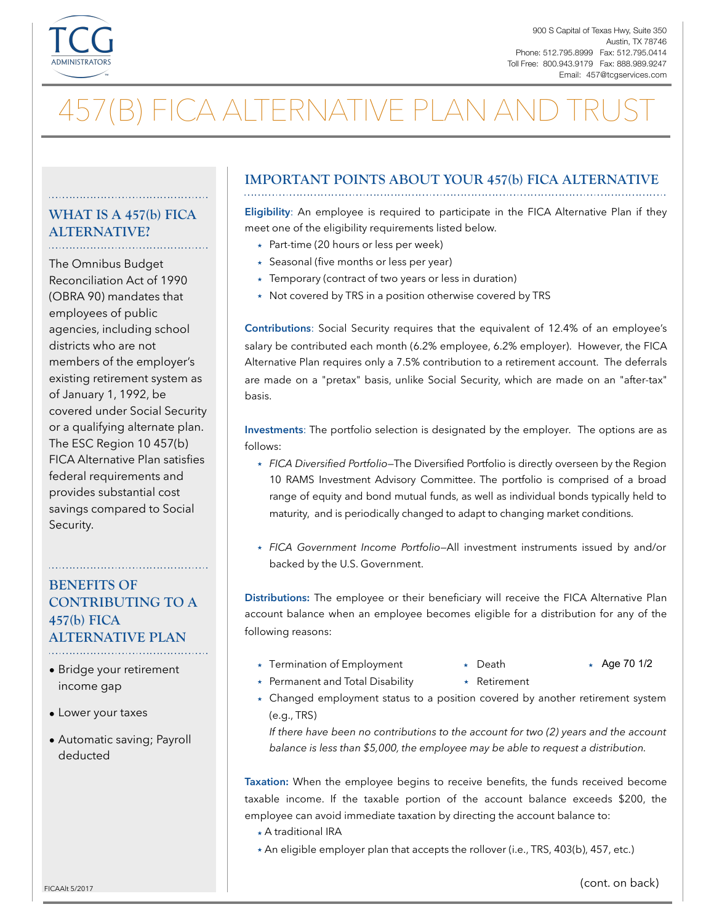

# 457(B) FICA ALTERNATIVE PLAN AND

#### **WHAT IS A 457(b) FICA ALTERNATIVE?**

The Omnibus Budget Reconciliation Act of 1990 (OBRA 90) mandates that employees of public agencies, including school districts who are not members of the employer's existing retirement system as of January 1, 1992, be covered under Social Security or a qualifying alternate plan. The ESC Region 10 457(b) FICA Alternative Plan satisfies federal requirements and provides substantial cost savings compared to Social Security.

### **BENEFITS OF CONTRIBUTING TO A 457(b) FICA ALTERNATIVE PLAN**

- Bridge your retirement income gap
- Lower your taxes
- Automatic saving; Payroll deducted

## **IMPORTANT POINTS ABOUT YOUR 457(b) FICA ALTERNATIVE**

**Eligibility**: An employee is required to participate in the FICA Alternative Plan if they meet one of the eligibility requirements listed below.

- $\star$  Part-time (20 hours or less per week)
- ̣ Seasonal (five months or less per year)
- ̣ Temporary (contract of two years or less in duration)
- \* Not covered by TRS in a position otherwise covered by TRS

**Contributions**: Social Security requires that the equivalent of 12.4% of an employee's salary be contributed each month (6.2% employee, 6.2% employer). However, the FICA Alternative Plan requires only a 7.5% contribution to a retirement account. The deferrals are made on a "pretax" basis, unlike Social Security, which are made on an "after-tax" basis.

**Investments**: The portfolio selection is designated by the employer. The options are as follows:

- ̣ *FICA Diversified Portfolio*—The Diversified Portfolio is directly overseen by the Region 10 RAMS Investment Advisory Committee. The portfolio is comprised of a broad range of equity and bond mutual funds, as well as individual bonds typically held to maturity, and is periodically changed to adapt to changing market conditions.
- ̣ *FICA Government Income Portfolio*—All investment instruments issued by and/or backed by the U.S. Government.

**Distributions:** The employee or their beneficiary will receive the FICA Alternative Plan account balance when an employee becomes eligible for a distribution for any of the following reasons:

- ̣ Termination of Employment ̣ ̣ Age 70 1/2
- $\star$  Death
- 

- \* Permanent and Total Disability
	- ̣ Retirement
- ̣ Changed employment status to a position covered by another retirement system (e.g., TRS)

*If there have been no contributions to the account for two (2) years and the account balance is less than \$5,000, the employee may be able to request a distribution.* 

**Taxation:** When the employee begins to receive benefits, the funds received become taxable income. If the taxable portion of the account balance exceeds \$200, the employee can avoid immediate taxation by directing the account balance to:

- ̣ A traditional IRA
- \* An eligible employer plan that accepts the rollover (i.e., TRS, 403(b), 457, etc.)

FICAAIt 5/2017 **FICAAIt 5/2017** (cont. on back)